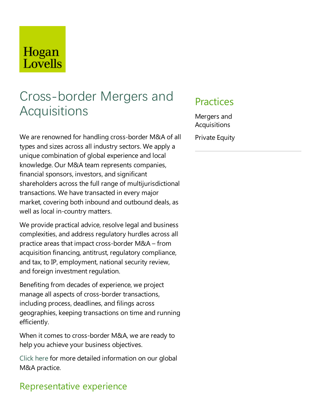## Hogan Lovells

# Cross-border Mergers and **Acquisitions**

We are renowned for handling cross-border M&A of all types and sizes across all industry sectors. We apply a unique combination of global experience and local knowledge. Our M&A team represents companies, financial sponsors, investors, and significant shareholders across the full range of multijurisdictional transactions. We have transacted in every major market, covering both inbound and outbound deals, as well as local in-country matters.

We provide practical advice, resolve legal and business complexities, and address regulatory hurdles across all practice areas that impact cross-border  $M&A$  – from acquisition financing, antitrust, regulatory compliance, and tax, to IP, employment, national security review, and foreign investment regulation.

Benefiting from decades of experience, we project manage all aspects of cross-border transactions, including process, deadlines, and filings across geographies, keeping transactions on time and running efficiently.

When it comes to cross-border M&A, we are ready to help you achieve your business objectives.

Click here for more detailed information on our global M&A practice.

### Representative experience

### **Practices**

Mergers and Acquisitions

**Private Equity**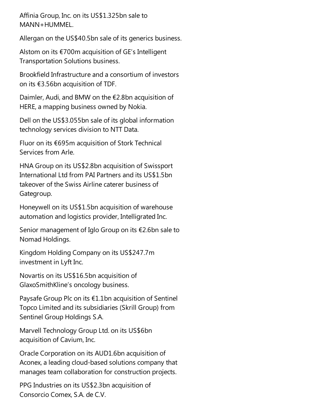Affinia Group, Inc. on its US\$1.325bn sale to MANN+HUMMEL.

Allergan on the US\$40.5bn sale of its generics business.

Alstom on its €700m acquisition of GE's Intelligent Transportation Solutions business.

Brookfield Infrastructure and a consortium of investors on its €3.56bn acquisition ofTDF.

Daimler, Audi, and BMW on the  $\epsilon$ 2.8bn acquisition of HERE, a mapping business owned by Nokia.

Dell on the US\$3.055bn sale of its global information technology services division to NTT Data.

Fluor on its  $€695m$  acquisition of Stork Technical Services from Arle.

HNA Group on its US\$2.8bn acquisition of Swissport International Ltd from PAI Partners and its US\$1.5bn takeover of the Swiss Airline caterer business of Gategroup.

Honeywell on its US\$1.5bn acquisition of warehouse automation and logistics provider, Intelligrated Inc.

Senior management of Iglo Group on its  $\epsilon$ 2.6bn sale to Nomad Holdings.

Kingdom Holding Company on its US\$247.7m investment in Lyft Inc.

Novartis on its US\$16.5bn acquisition of GlaxoSmithKline's oncology business.

Paysafe Group Plc on its €1.1bn acquisition of Sentinel Topco Limited and its subsidiaries (Skrill Group) from Sentinel Group Holdings S.A.

Marvell Technology Group Ltd. on its US\$6bn acquisition of Cavium, Inc.

Oracle Corporation on its AUD1.6bn acquisition of Aconex, a leading cloud-based solutions company that manages team collaboration for construction projects.

PPG Industries on its US\$2.3bn acquisition of Consorcio Comex, S.A. de C.V.